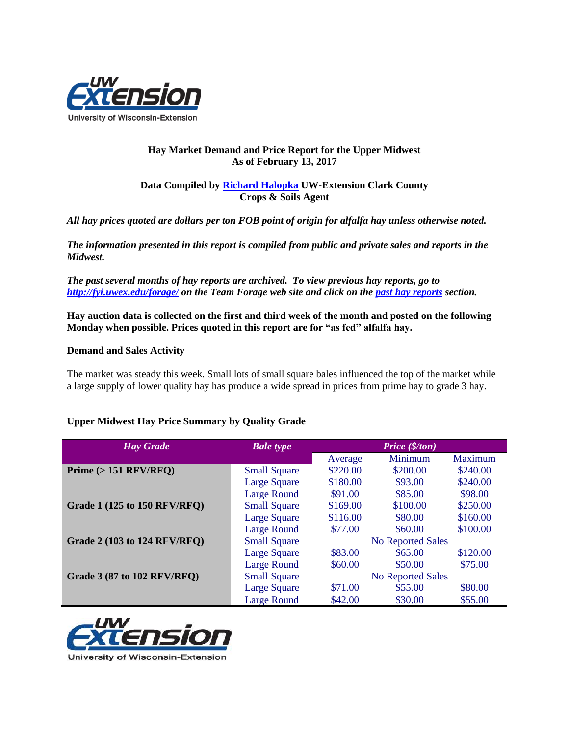

## **Hay Market Demand and Price Report for the Upper Midwest As of February 13, 2017**

## **Data Compiled by [Richard Halopka](mailto:richard.halopka@ces.uwex.edu) UW-Extension Clark County Crops & Soils Agent**

*All hay prices quoted are dollars per ton FOB point of origin for alfalfa hay unless otherwise noted.*

*The information presented in this report is compiled from public and private sales and reports in the Midwest.*

*The past several months of hay reports are archived. To view previous hay reports, go to <http://fyi.uwex.edu/forage/> on the Team Forage web site and click on the [past hay reports](http://fyi.uwex.edu/forage/h-m-r/) section.* 

**Hay auction data is collected on the first and third week of the month and posted on the following Monday when possible. Prices quoted in this report are for "as fed" alfalfa hay.**

## **Demand and Sales Activity**

The market was steady this week. Small lots of small square bales influenced the top of the market while a large supply of lower quality hay has produce a wide spread in prices from prime hay to grade 3 hay.

## **Upper Midwest Hay Price Summary by Quality Grade**

| <b>Hay Grade</b>                    | <b>Bale</b> type    | ---------- Price (\$/ton) ---------- |          |                |
|-------------------------------------|---------------------|--------------------------------------|----------|----------------|
|                                     |                     | Average                              | Minimum  | <b>Maximum</b> |
| Prime $(> 151$ RFV/RFQ)             | <b>Small Square</b> | \$220.00                             | \$200.00 | \$240.00       |
|                                     | <b>Large Square</b> | \$180.00                             | \$93.00  | \$240.00       |
|                                     | <b>Large Round</b>  | \$91.00                              | \$85.00  | \$98.00        |
| <b>Grade 1 (125 to 150 RFV/RFO)</b> | <b>Small Square</b> | \$169.00                             | \$100.00 | \$250.00       |
|                                     | <b>Large Square</b> | \$116.00                             | \$80.00  | \$160.00       |
|                                     | <b>Large Round</b>  | \$77.00                              | \$60.00  | \$100.00       |
| <b>Grade 2 (103 to 124 RFV/RFQ)</b> | <b>Small Square</b> | <b>No Reported Sales</b>             |          |                |
|                                     | <b>Large Square</b> | \$83.00                              | \$65.00  | \$120.00       |
|                                     | <b>Large Round</b>  | \$60.00                              | \$50.00  | \$75.00        |
| <b>Grade 3 (87 to 102 RFV/RFQ)</b>  | <b>Small Square</b> | <b>No Reported Sales</b>             |          |                |
|                                     | <b>Large Square</b> | \$71.00                              | \$55.00  | \$80.00        |
|                                     | <b>Large Round</b>  | \$42.00                              | \$30.00  | \$55.00        |



University of Wisconsin-Extension